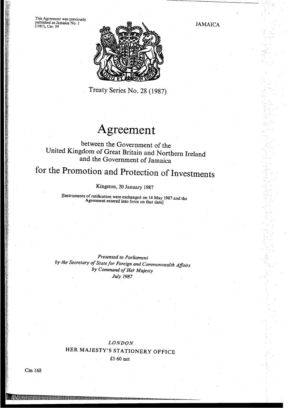This Agreement was previously published as Jamaica No. I (1987). Cm. 99

JAMAICA



Treaty Series No. 28 (1987)

# **Agreement**

between the Government of the United Kingdom of Great Britain and Northern Ireland and the Government of Jamaica

for the Promotion and Protection of Investments

Kingston, 20 January 1987

[Instruments of ratification were exchanged on 14 May 1987 and the Agreement entered into force on that date]

*Presented to Parliament by the Secretary of State for Foreign and Commonwealth Affairs by Command of Her Majesty July 1987* 

*LONDON*  HER MAJESTY'S STATIONERY OFFICE £1·60 net

a a shekara wa kati wa matu wa mshini wa mashi wa matu wa m

Cm 168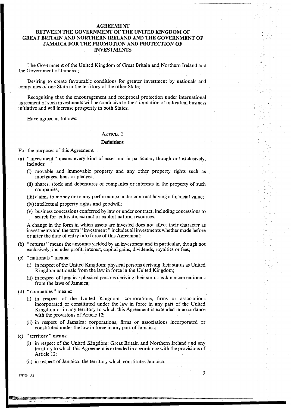# **AGREEMENT BETWEEN THE GOVERNMENT OF THE UNITED KINGDOM OF GREAT BRITAIN AND NORTHERN IRELAND AND THE GOVERNMENT OF JAMAICA FOR THE PROMOTION AND PROTECTION OF INVESTMENTS**

The Government of the United Kingdom of Great Britain and Northern Ireland and the Government of Jamaica;

Desiring to create favourable conditions for greater investment by nationals and companies of one State in the territory of the other State;

Recognising that the encouragement and reciprocal protection under international agreement of such investments will be conducive to the stimulation of individual business initiative and will increase prosperity in both States;

Have agreed as follows:

# ARTICLE 1

## **Definitions**

For the purposes of this Agreement

- (a) "investment" means every kind of asset and in particular, though not exclusively, includes:
	- (i) movable and immovable property and any other property rights such as mortgages, liens or pledges;
	- (ii) shares, stock and debentures of companies or interests in the property of such companies;

(iii) claims to money or to any performance under contract having a financial value;

(iv) intellectual property rights and goodwill;

(v) business concessions conferred by law or under contract, including concessions to search for, cultivate, extract or exploit natural resources.

A change in the form in which assets are invested does not affect their character as investments and the term" investment" includes all investments whether made before or after the date of entry into force of this Agreement;

- (b) "returns" means the amounts yielded by an investment and in particular, though not exclusively, includes profit, interest, capital gains, dividends, royalties or fees;
- (c) "nationals" means:
	- (i) in respect of the United Kingdom: physical persons deriving their. status as United Kingdom nationals from the law in force in the United Kingdom;
	- (ii) in respect of Jamaica: physical persons deriving their status as Jamaican nationals from the laws of Jamaica;
- (d) "companies" means:
	- (i) in respect of the United Kingdom: corporations, firms or associations incorporated or constituted under the law in force in any part of the United Kingdom or in any territory to which this Agreement is extended in accordance with the provisions of Article 12;
	- (ii) in respect of Jamaica: corporations, firms or associations incorporated or constituted under the law in force in any part of Jamaica;
- (e) "territory" means:

**A SANTA A MARITAN DI BILIMINI DI BILIMINI A PIRIMINI DI BILIMINI DI BILIMINI DI BILIMINI DI BILIMINI DI BILIMI** 

(i) in respect of the United Kingdom: Great Britain and Northern Ireland and any territory to which this Agreement is extended in accordance with the provisions of Article 12;

(ii) in respect of Jamaica: the territory which constitutes Jamaica.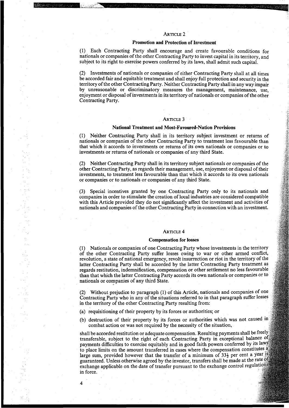# ARTICLE 2

## Promotion and Protection of Investment

(1) Each Contracting Party shall encourage and create favourable conditions for nationals or companies of the other Contracting Party to invest capital in its territory, and subject to its right to exercise powers conferred by its laws, shall admit such capital.

(2) Investments of nationals or companies of either Contracting Party shall at all times be accorded fair and equitable treatment and shall enjoy full protection and security in the territory of the other Contracting Party. Neither Contracting Party shall in any way impair by unreasonable or discriminatory measures the management, maintenance, use, enjoyment or disposal of investments in its territory of nationals or companies of the other Contracting Party.

#### ARTICLE 3

#### National Treatment and Most-Favoured-Nation Provisions

(1) Neither Contracting Party shall in its territory subject investment or returns of nationals or companies of the other Contracting Party to treatment less favourable than that which it accords to investments or returns of its own nationals or companies or to investments or returns of nationals or companies of any third State.

(2) Neither Contracting Party shall in its territory subject nationals or companies of the other Contracting Party, as regards their management, use, enjoyment or disposal of their investments, to treatment less favourable than that which it accords to its own nationals or companies or to nationals or companies of any third State.

(3) Special incentives granted by one Contracting Party only to its nationals and companies in order to stimulate the creation of local industries are considered compatible with this Article provided they do not significantly affect the investment and activities of nationals and companies of the other Contracting Party in connection with an investment.

#### ARTICLE 4

#### Compensation for losses

(1) Nationals or companies of one Contracting Party whose investments in the territory of the other Contracting Party suffer losses owing to war or other armed conflict, revolution, a state of national emergency, revolt insurrection or riot in the territory of the latter Contracting Party shall be accorded by the latter Contracting Party treatment as regards restitution, indemnification, compensation or other settlement no less favourable than that which the latter Contracting Party accords its own nationals or companies or to nationals or companies of any third State.

(2) Without prejudice to paragraph (1) of this Article, nationals and companies of one Contracting Party who in any of the situations referred to in that paragraph suffer losses in the territory of the other Contracting Party resulting from:

- (a) requisitioning of their property by its forces or authorities; or
- (b) destruction of their property by its forces or authorities which was not caused in combat action or was not required by the necessity of the situation,

shall be accorded restitution or adequate compensation. Resulting payments shall be freely transferable, subject to the right of each Contracting Party in exceptional balance payments difficulties to exercise equitably and in good faith powers conferred by its laws to place limits on the amount transferred in cases where the compensation constitutes as large sum, provided however that the transfer of a minimum of  $33\frac{1}{3}$  per cent a year is guaranteed. Unless otherwise agreed by the investor, transfers shall be made at the rate of exchange applicable on the date of transfer pursuant to the exchange control regulations in force.

4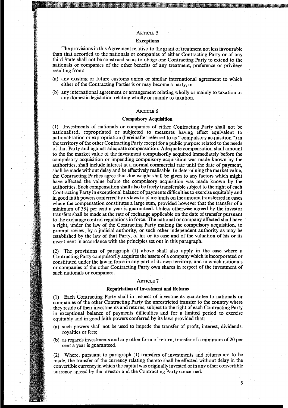# ARTICLE 5

## Exceptions

The provisions in this Agreement relative to the grant of treatment not less favourable than that accorded to the nationals or companies of either Contracting Party or of any third State shall not be construed so as to oblige one Contracting Party to extend to the nationals or companies of the other benefits of any treatment, preference or privilege resulting from:

- (a) any existing or future customs union or similar international agreement to which either of the Contracting Parties'is or may become a party; or
- (b) any international agreement or arrangement relating wholly or mainly to taxation or any domestic legislation relating wholly or mainly to taxation.

#### ARTICLE 6

## Compulsory Acquisition

(1) Investments of nationals or companies of either Contracting Party shall not be nationalised, expropriated or subjected to measures having effect equivalent to nationalisation or expropriation (hereinafter referred to as " compulsory acquisition ") in the territory of the other Contracting Party except for a public purpose related to the needs of that Party and against adequate compensation. Adequate compensation shall amount to the the market value of the investment compulsorily acquired immediately before the compulsory acquisition or impending compulsory acquisition was made known by the authorities, shall include interest at a normal commercial rate until the date of payment, shall be made without delay and be effectively realisable. In determining the market value, the Contracting Parties agree that due weight shall be given to any factors which might have affected the value before the compulsory acquisition was made known by the authorities. Such compensation shall also be freely transferable subject to the right of each Contracting Party in exceptional balance of payments difficulties to exercise equitably and in good faith powers conferred by its laws to place limits on the amount transferred in cases where the compensation constitutes a large sum, provided however that the transfer of a minimum of  $3\overline{3}\frac{1}{3}$  per cent a year is guaranteed. Unless otherwise agreed by the investor transfers shall be made at the rate of exchange applicable on the date of transfer pursuant to the exchange control regulations in force. The national or company affected shall have a right, under the law of the Contracting Party making the compulsory acquisition, to prompt review, by a judicial authority, or such other independent authority as may be established by the law of that Party, of his or its case and of the valuation of his or its investment in accordance with the principles set out in this paragraph.

(2) The provisions of paragraph (1) above shall also apply in the case where a Contracting Party compulsorily acquires the assets of a company which is incorporated or constituted under the law in force in any part of its own territory, and in which nationals or companies of the other Contracting Party own shares in respect of the investment of such nationals or companies.

#### ARTICLE 7

## Repatriation of Investment **and** Returns

(1) Each Contracting Party shall in respect of investments guarantee to nationals or companies of the other Contracting Party the unrestricted transfer to the country where they reside of their investments and returns, subject to the right of each Contracting Party in exceptional balance of payments difficulties and for a limited period to exercise equitably and in good faith powers conferred by its laws provided that:

- (a) such powers shall not be used to impede the transfer of profit, interest, dividends, royalties or fees;
- (b) as regards investments and any other form of return, transfer of a minimum of 20 per cent a year is guaranteed.

(2) Where, pursuant to paragraph (1) transfers of investments and returns are to be made, the transfer of the currency relating thereto shall be effected without delay in the convertible currency in which the capital was originally invested or in any other convertible currency agreed by the investor and the Contracting Party concerned.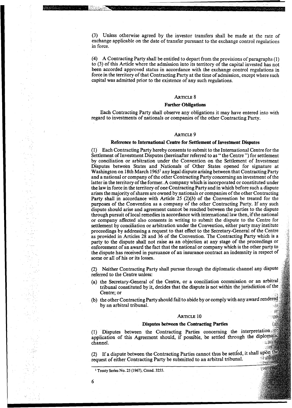(3) Unless otherwise agreed by the investor transfers shall be made at the rate of exchange applicable on the date of transfer pursuant to the exchange control regulations in force.

(4) A Contracting Party shall be entitled to depart from the provisions of paragraphs (1) to (3) of this Article where the admission into its territory of the capital invested has not been accorded approved status in accordance with the exchange control regulations in force in the territory of that Contracting Party at the time of admission, except where such capital was admitted prior to the existence of any such regulations.

## ARTICLE 8

## **Further Obligations**

Each Contracting Party shall observe any obligations it may have entered into with regard to investments of nationals or companies of the other Contracting Party.

#### ARTICLE 9

## **Reference to International Centre for Settlement of Investment Disputes**

(1) Each Contracting Party hereby consents to submit to the International Centre for the Settlement of Investment Disputes (hereinafter referred to as " the Centre ") for settlement by conciliation or arbitration under the Convention on the Settlement of Investment Disputes between States and Nationals of Other States opened for signature at Washington on 18th March 1965<sup>1</sup> any legal dispute arising between that Contracting Party and a national or company of the other Contracting Party concerning an investment of the latter in the territory of the former. A company which is incorporated or constituted under the law in force in the territory of one Contracting Party and in which before such a dispute arises the majority of shares are owned by nationals or companies of the other Contracting Party shall in accordance with Article 25  $(2)(b)$  of the Convention be treated for the purposes of the Convention as a company of the other Contracting Party. If any such dispute should arise and agreement cannot be reached between the parties to the dispute through pursuit oflocal remedies in accordance with international law then, if the national or company affected also consents in writing to submit the dispute to the Centre for settlement by conciliation or arbitration under the Convention, either party may institute proceedings by addressing a request to that effect to the Secretary-General of the Centre as provided in Articles 28 and 36 of the Convention. The Contracting Party which is a party to the dispute shall not raise as an objection at any stage of the proceedings or enforcement of an award the fact that the national or company which is the other party to the dispute has received in pursuance of an insurance contract an indemnity in respect of some or all of his or its losses.

(2) Neither Contracting Party shall pursue through the diplomatic channel any dispute referred to the Centre unless:

- (a) the Secretary-General of the Centre, or a conciliation commission or an arbitral tribunal constituted by it, decides that the dispute is not within the jurisdiction of the Centre; or
- (b) the other Contracting Party should fail to abide by or comply with any award rendered by an arbitral tribunal.  $\mathbb{R}^2$

# ARTICLE 10

 $\hat{m}$ 领域

三磷酸

VIAN

## **Disputes between the Contracting Parties**

(1) Disputes between the Contracting Parties concerning the application of this Agreement should, if possible, be settled through the diplomatic channel.

(2) If a dispute between the Contracting Parties cannot thus be settled, it shall upon the di aliyya request of either Contracting Party be submitted to an arbitral tribunal.  $-1$  is multiple

<sup>1</sup> Treaty Series No. 25 (1967), Cmnd. 3255.

6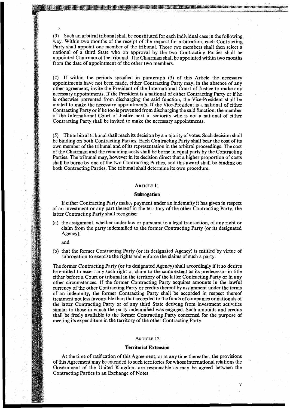(3) Such an arbitral tribunal shall be constituted for each individual case in the following way. Within two months of the receipt of the request for arbitration, each Contracting Party shall appoint one member of the tribunal. Those two members shall then select a national of a third State who on approval by the two Contracting Parties shall be appointed Chairman of the tribunal. The Chairman shall be appointed within two months . from the date of appointment of the other two members.

a a ban a chaile an chaidh an chaile an chaidh an chaidh an chaidh an chaidh an chaidh an chaidh an chaidh an

(4) If within the periods specified in paragraph (3) of this Article the necessary appointments have not been made, either Contracting Party may, in the absence of any other agreement, invite the President of the International Court of Justice to make any necessary appointments. If the President is a national of either Contracting Party or if he is otherwise prevented from discharging the said function, the Vice-President shall be invited to make the necessary appointments. If the Vice-President is a national of either Contracting Party or ifhe too is prevented from discharging the said function, the member of the International Court of Justice next in seniority who is not a national of either Contracting Party shall be invited to make the necessary appointments.

 $(5)$  The arbitral tribunal shall reach its decision by a majority of votes. Such decision shall be binding on both Contracting Parties. Each Contracting Party shall bear the cost of its own member of the tribunal and of its representation in the arbitral proceedings. The cost of the Chairman and the remaining costs shall be borne in equal parts by the Contracting Parties. The tribunal may, however in its decision direct that a higher proportion of costs shall be borne by one of the two Contracting Parties, and this award shall be binding on both Contracting Parties. The tribunal shall determine its own procedure.

## ARTICLE 11

## **Subrogation**

If either Contracting Party makes payment under an indemnity it has given in respect of an investment or any part thereof in the territory of the other Contracting Party, the latter Contracting Party shall recognise:

(a) the assignment, whether under law or pursuant to a legal transaction, of any right or claim from the party indemnified to the former Contracting Party (or its designated Agency);

and

(b) that the former Contracting Party (or its designated Agency) is entitled by virtue of subrogation to exercise the rights and enforce the claims of such a party.

The former Contracting Party (or its designated Agency) shall accordingly if it so desires be entitled to assert any such right or claim to the same extent as its predecessor in title either before a Court or tribunal in the territory of the latter Contracting Party or in any other circumstances. If the former Contracting Party acquires amounts in the lawful currency of the other Contracting Party or credits thereof by assignment under the terms of an indemnity, the former Contracting Party shall be accorded in respect thereof treatment not less favourable than that accorded to the funds of companies or nationals of the latter Contracting Party or of any third State deriving from investment activities similar to those in which the party indemnified was engaged. Such amounts and credits shall be freely available to the former Contracting Party concerned for the purpose of meeting its expenditure in the territory of the other Contracting Party.

#### ARTICLE 12

#### **Territorial Extension**

At the time of ratification of this Agreement, or at any time thereafter, the provisions of this Agreement may be extended to such territories for whose international relations the Government of the United Kingdom are responsible as may be agreed between the Contracting Parties in an Exchange of Notes.

7